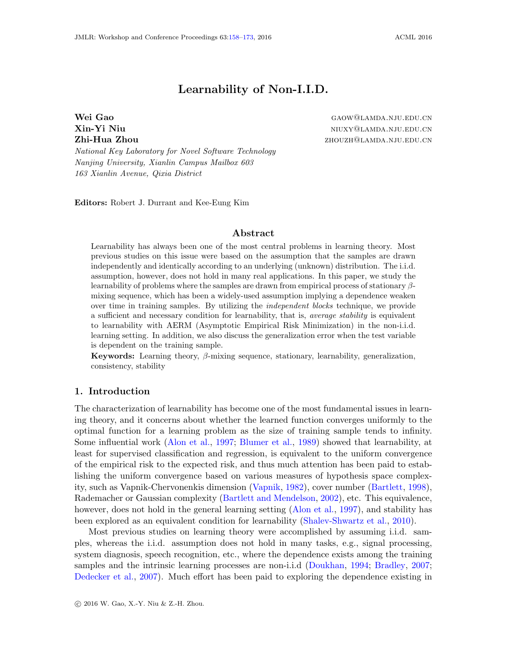# **Learnability of Non-I.I.D.**

<span id="page-0-0"></span>**Wei Gao** GAOW@LAMDA.NJU.EDU.CN **Xin-Yi Niu** niuxy@lamda.nju.edu.cn **Zhi-Hua Zhou zhouzh zhouzh zhouzh zhouzh zhouzh zhouzh zhouzh zhouzh zhouzh zhouzh zhouzh zhouzh zhouzh zhouzh zhouzh zhouzh zhouzh zhouzh zhouzh zhouzh zhouzh zhouzh zhouzh zhouzh zhouzh zhouzh zhouzh zhouzh zhouzh zho** 

*National Key Laboratory for Novel Software Technology Nanjing University, Xianlin Campus Mailbox 603 163 Xianlin Avenue, Qixia District*

**Editors:** Robert J. Durrant and Kee-Eung Kim

#### **Abstract**

Learnability has always been one of the most central problems in learning theory. Most previous studies on this issue were based on the assumption that the samples are drawn independently and identically according to an underlying (unknown) distribution. The i.i.d. assumption, however, does not hold in many real applications. In this paper, we study the learnability of problems where the samples are drawn from empirical process of stationary *β*mixing sequence, which has been a widely-used assumption implying a dependence weaken over time in training samples. By utilizing the *independent blocks* technique, we provide a sufficient and necessary condition for learnability, that is, *average stability* is equivalent to learnability with AERM (Asymptotic Empirical Risk Minimization) in the non-i.i.d. learning setting. In addition, we also discuss the generalization error when the test variable is dependent on the training sample.

**Keywords:** Learning theory, *β*-mixing sequence, stationary, learnability, generalization, consistency, stability

### **1. Introduction**

The characterization of learnability has become one of the most fundamental issues in learning theory, and it concerns about whether the learned function converges uniformly to the optimal function for a learning problem as the size of training sample tends to infinity. Some influential work [\(Alon et al.,](#page-14-0) [1997](#page-14-0); [Blumer et al.](#page-14-1), [1989\)](#page-14-1) showed that learnability, at least for supervised classification and regression, is equivalent to the uniform convergence of the empirical risk to the expected risk, and thus much attention has been paid to establishing the uniform convergence based on various measures of hypothesis space complexity, such as Vapnik-Chervonenkis dimension ([Vapnik,](#page-15-1) [1982\)](#page-15-1), cover number ([Bartlett,](#page-14-2) [1998\)](#page-14-2), Rademacher or Gaussian complexity [\(Bartlett and Mendelson](#page-14-3), [2002](#page-14-3)), etc. This equivalence, however, does not hold in the general learning setting ([Alon et al.,](#page-14-0) [1997\)](#page-14-0), and stability has been explored as an equivalent condition for learnability ([Shalev-Shwartz et al.](#page-15-2), [2010\)](#page-15-2).

Most previous studies on learning theory were accomplished by assuming i.i.d. samples, whereas the i.i.d. assumption does not hold in many tasks, e.g., signal processing, system diagnosis, speech recognition, etc., where the dependence exists among the training samples and the intrinsic learning processes are non-i.i.d ([Doukhan](#page-14-4), [1994](#page-14-4); [Bradley,](#page-14-5) [2007;](#page-14-5) [Dedecker et al.,](#page-14-6) [2007](#page-14-6)). Much effort has been paid to exploring the dependence existing in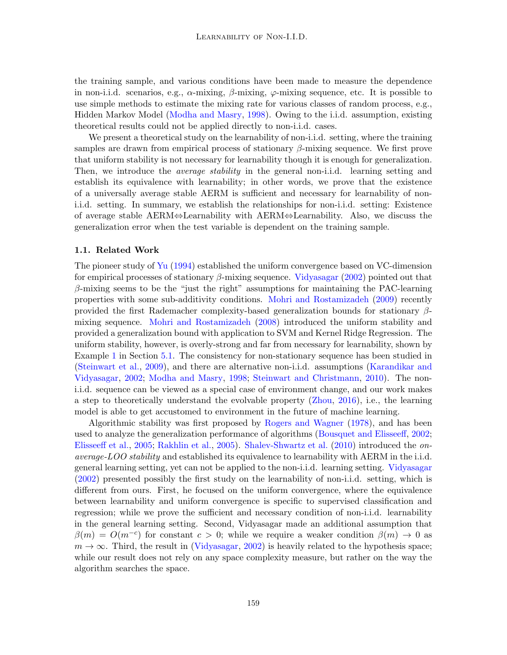the training sample, and various conditions have been made to measure the dependence in non-i.i.d. scenarios, e.g.,  $\alpha$ -mixing,  $\beta$ -mixing,  $\varphi$ -mixing sequence, etc. It is possible to use simple methods to estimate the mixing rate for various classes of random process, e.g., Hidden Markov Model ([Modha and Masry](#page-15-3), [1998\)](#page-15-3). Owing to the i.i.d. assumption, existing theoretical results could not be applied directly to non-i.i.d. cases.

We present a theoretical study on the learnability of non-i.i.d. setting, where the training samples are drawn from empirical process of stationary *β*-mixing sequence. We first prove that uniform stability is not necessary for learnability though it is enough for generalization. Then, we introduce the *average stability* in the general non-i.i.d. learning setting and establish its equivalence with learnability; in other words, we prove that the existence of a universally average stable AERM is sufficient and necessary for learnability of noni.i.d. setting. In summary, we establish the relationships for non-i.i.d. setting: Existence of average stable AERM*⇔*Learnability with AERM*⇔*Learnability. Also, we discuss the generalization error when the test variable is dependent on the training sample.

#### **1.1. Related Work**

The pioneer study of [Yu](#page-15-4) ([1994\)](#page-15-4) established the uniform convergence based on VC-dimension for empirical processes of stationary *β*-mixing sequence. [Vidyasagar](#page-15-5) [\(2002\)](#page-15-5) pointed out that *β*-mixing seems to be the "just the right" assumptions for maintaining the PAC-learning properties with some sub-additivity conditions. [Mohri and Rostamizadeh](#page-15-6) [\(2009\)](#page-15-6) recently provided the first Rademacher complexity-based generalization bounds for stationary *β*mixing sequence. [Mohri and Rostamizadeh](#page-15-7) [\(2008\)](#page-15-7) introduced the uniform stability and provided a generalization bound with application to SVM and Kernel Ridge Regression. The uniform stability, however, is overly-strong and far from necessary for learnability, shown by Example [1](#page-8-0) in Section [5.1](#page-8-1). The consistency for non-stationary sequence has been studied in [\(Steinwart et al.](#page-15-8), [2009](#page-15-8)), and there are alternative non-i.i.d. assumptions ([Karandikar and](#page-15-9) [Vidyasagar](#page-15-9), [2002](#page-15-9); [Modha and Masry](#page-15-3), [1998](#page-15-3); [Steinwart and Christmann](#page-15-10), [2010](#page-15-10)). The noni.i.d. sequence can be viewed as a special case of environment change, and our work makes a step to theoretically understand the evolvable property ([Zhou](#page-15-11), [2016](#page-15-11)), i.e., the learning model is able to get accustomed to environment in the future of machine learning.

Algorithmic stability was first proposed by [Rogers and Wagner](#page-15-12) ([1978\)](#page-15-12), and has been used to analyze the generalization performance of algorithms ([Bousquet and Elisseeff](#page-14-7), [2002;](#page-14-7) [Elisseeff et al.,](#page-14-8) [2005;](#page-14-8) [Rakhlin et al.](#page-15-13), [2005\)](#page-15-13). [Shalev-Shwartz et al.](#page-15-2) ([2010\)](#page-15-2) introduced the *onaverage-LOO stability* and established its equivalence to learnability with AERM in the i.i.d. general learning setting, yet can not be applied to the non-i.i.d. learning setting. [Vidyasagar](#page-15-5) [\(2002](#page-15-5)) presented possibly the first study on the learnability of non-i.i.d. setting, which is different from ours. First, he focused on the uniform convergence, where the equivalence between learnability and uniform convergence is specific to supervised classification and regression; while we prove the sufficient and necessary condition of non-i.i.d. learnability in the general learning setting. Second, Vidyasagar made an additional assumption that  $\beta(m) = O(m^{-c})$  for constant  $c > 0$ ; while we require a weaker condition  $\beta(m) \to 0$  as  $m \to \infty$ . Third, the result in ([Vidyasagar,](#page-15-5) [2002](#page-15-5)) is heavily related to the hypothesis space; while our result does not rely on any space complexity measure, but rather on the way the algorithm searches the space.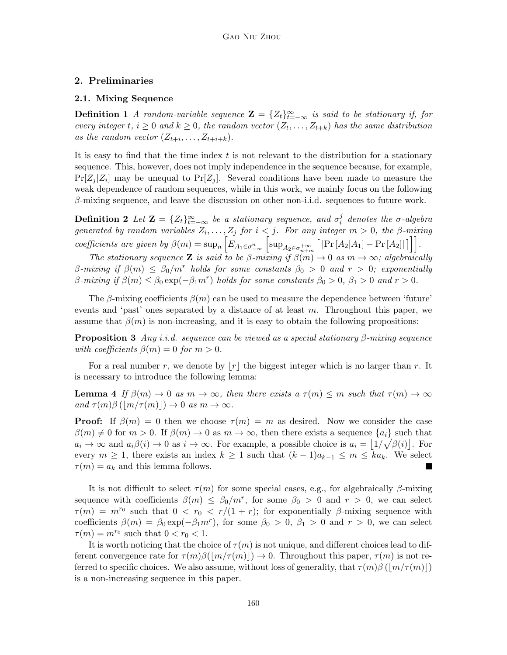### <span id="page-2-1"></span>**2. Preliminaries**

#### **2.1. Mixing Sequence**

**Definition 1** *A random-variable sequence*  $\mathbf{Z} = \{Z_t\}_{t=-\infty}^{\infty}$  *is said to be stationary if, for every integer*  $t, i \geq 0$  *and*  $k \geq 0$ *, the random vector*  $(Z_t, \ldots, Z_{t+k})$  *has the same distribution* as the random vector  $(Z_{t+i}, \ldots, Z_{t+i+k})$ .

It is easy to find that the time index *t* is not relevant to the distribution for a stationary sequence. This, however, does not imply independence in the sequence because, for example,  $Pr[Z_j|Z_i]$  may be unequal to  $Pr[Z_j]$ . Several conditions have been made to measure the weak dependence of random sequences, while in this work, we mainly focus on the following *β*-mixing sequence, and leave the discussion on other non-i.i.d. sequences to future work.

**Definition 2** *Let*  $\mathbf{Z} = \{Z_t\}_{t=-\infty}^{\infty}$  *be a stationary sequence, and*  $\sigma_i^j$ *i denotes the σ-algebra generated by random variables*  $Z_i, \ldots, Z_j$  *for*  $i < j$ *. For any integer*  $m > 0$ *, the β-mixing* coefficients are given by  $\beta(m) = \sup_n \left[ E_{A_1 \in \sigma_{-\infty}^n} \left[ \sup_{A_2 \in \sigma_{n+m}^{+\infty}} \left[ | \Pr\left[ A_2 | A_1 \right] - \Pr\left[ A_2 \right] | \right] \right] \right]$ .

*The stationary sequence* **Z** *is said to be*  $\beta$ *-mixing if*  $\beta(m) \to 0$  *as*  $m \to \infty$ *; algebraically β-mixing if β*(*m*) *≤ β*0*/m<sup>r</sup> holds for some constants β*<sup>0</sup> *>* 0 *and r >* 0*; exponentially*  $\beta$ -mixing if  $\beta(m) \leq \beta_0 \exp(-\beta_1 m^r)$  holds for some constants  $\beta_0 > 0$ ,  $\beta_1 > 0$  and  $r > 0$ .

The  $\beta$ -mixing coefficients  $\beta(m)$  can be used to measure the dependence between 'future' events and 'past' ones separated by a distance of at least *m*. Throughout this paper, we assume that  $\beta(m)$  is non-increasing, and it is easy to obtain the following propositions:

**Proposition 3** *Any i.i.d. sequence can be viewed as a special stationary β-mixing sequence with coefficients*  $\beta(m) = 0$  *for*  $m > 0$ .

<span id="page-2-0"></span>For a real number *r*, we denote by  $|r|$  the biggest integer which is no larger than *r*. It is necessary to introduce the following lemma:

**Lemma 4** *If*  $\beta(m) \to 0$  *as*  $m \to \infty$ *, then there exists a*  $\tau(m) \leq m$  *such that*  $\tau(m) \to \infty$  $\alpha$ *and*  $\tau(m)\beta(\vert m/\tau(m) \vert) \rightarrow 0$  *as*  $m \rightarrow \infty$ .

**Proof:** If  $\beta(m) = 0$  then we choose  $\tau(m) = m$  as desired. Now we consider the case  $\beta(m) \neq 0$  for  $m > 0$ . If  $\beta(m) \to 0$  as  $m \to \infty$ , then there exists a sequence  $\{a_i\}$  such that  $a_i \to \infty$  and  $a_i\beta(i) \to 0$  as  $i \to \infty$ . For example, a possible choice is  $a_i = |1/\sqrt{\beta(i)}|$ . For every  $m \geq 1$ , there exists an index  $k \geq 1$  such that  $(k-1)a_{k-1} \leq m \leq ka_k$ . We select  $\tau(m) = a_k$  and this lemma follows.

It is not difficult to select *τ* (*m*) for some special cases, e.g., for algebraically *β*-mixing sequence with coefficients  $\beta(m) \leq \beta_0/m^r$ , for some  $\beta_0 > 0$  and  $r > 0$ , we can select  $\tau(m) = m^{r_0}$  such that  $0 < r_0 < r/(1+r)$ ; for exponentially *β*-mixing sequence with coefficients  $\beta(m) = \beta_0 \exp(-\beta_1 m^r)$ , for some  $\beta_0 > 0$ ,  $\beta_1 > 0$  and  $r > 0$ , we can select  $\tau(m) = m^{r_0}$  such that  $0 < r_0 < 1$ .

It is worth noticing that the choice of  $\tau(m)$  is not unique, and different choices lead to different convergence rate for  $\tau(m)\beta(|m/\tau(m)|) \rightarrow 0$ . Throughout this paper,  $\tau(m)$  is not referred to specific choices. We also assume, without loss of generality, that  $\tau(m)\beta\left(\frac{m}{\tau(m)}\right)$ is a non-increasing sequence in this paper.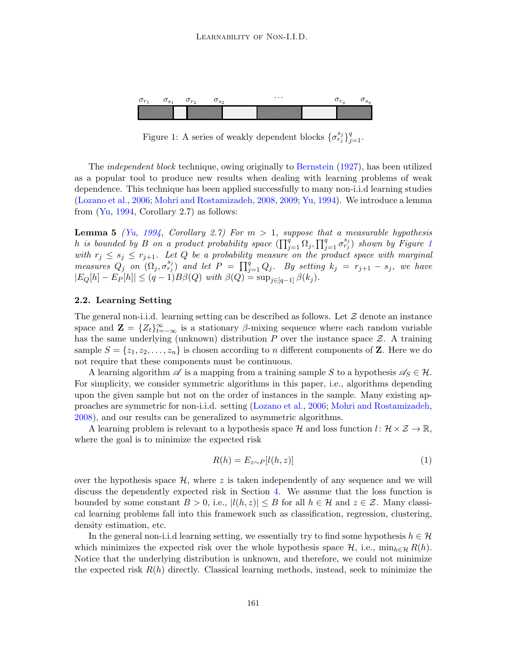

<span id="page-3-0"></span>Figure 1: A series of weakly dependent blocks  $\{\sigma_{r_j}^{s_j}\}_{j=1}^q$ .

The *independent block* technique, owing originally to [Bernstein](#page-14-9) ([1927\)](#page-14-9), has been utilized as a popular tool to produce new results when dealing with learning problems of weak dependence. This technique has been applied successfully to many non-i.i.d learning studies [\(Lozano et al.,](#page-15-14) [2006](#page-15-14); [Mohri and Rostamizadeh,](#page-15-7) [2008](#page-15-7), [2009;](#page-15-6) [Yu](#page-15-4), [1994\)](#page-15-4). We introduce a lemma from  $(Y_{u}, 1994, Corollary 2.7)$  $(Y_{u}, 1994, Corollary 2.7)$  $(Y_{u}, 1994, Corollary 2.7)$  as follows:

<span id="page-3-2"></span>**Lemma 5** *([Yu,](#page-15-4) [1994,](#page-15-4) Corollary 2.7) For m >* 1*, suppose that a measurable hypothesis h is bounded by B on a product probability space*  $(\prod_{j=1}^{q} \Omega_j, \prod_{j=1}^{q} \sigma_{r_j}^{s_j})$  $(\prod_{j=1}^{q} \Omega_j, \prod_{j=1}^{q} \sigma_{r_j}^{s_j})$  $(\prod_{j=1}^{q} \Omega_j, \prod_{j=1}^{q} \sigma_{r_j}^{s_j})$  *shown by Figure 1 with*  $r_j \leq s_j \leq r_{j+1}$ . Let *Q* be a probability measure on the product space with marginal measures  $Q_j$  on  $(\Omega_j, \sigma_{r_j}^{s_j})$  and let  $P = \prod_{j=1}^q Q_j$ . By setting  $k_j = r_{j+1} - s_j$ , we have  $|E_Q[h] - E_P[h]| \leq (q-1)B\beta(Q)$  with  $\beta(Q) = \sup_{j \in [q-1]} \beta(k_j)$ .

#### **2.2. Learning Setting**

The general non-i.i.d. learning setting can be described as follows. Let *Z* denote an instance space and  $\mathbf{Z} = \{Z_t\}_{t=-\infty}^{\infty}$  is a stationary *β*-mixing sequence where each random variable has the same underlying (unknown) distribution *P* over the instance space *Z*. A training sample  $S = \{z_1, z_2, \ldots, z_n\}$  is chosen according to *n* different components of **Z**. Here we do not require that these components must be continuous.

A learning algorithm  $\mathscr A$  is a mapping from a training sample *S* to a hypothesis  $\mathscr A_S \in \mathcal H$ . For simplicity, we consider symmetric algorithms in this paper, i.e., algorithms depending upon the given sample but not on the order of instances in the sample. Many existing approaches are symmetric for non-i.i.d. setting ([Lozano et al.](#page-15-14), [2006](#page-15-14); [Mohri and Rostamizadeh,](#page-15-7) [2008\)](#page-15-7), and our results can be generalized to asymmetric algorithms.

A learning problem is relevant to a hypothesis space  $H$  and loss function  $l: \mathcal{H} \times \mathcal{Z} \to \mathbb{R}$ , where the goal is to minimize the expected risk

<span id="page-3-1"></span>
$$
R(h) = E_{z \sim P}[l(h, z)] \tag{1}
$$

over the hypothesis space  $H$ , where  $z$  is taken independently of any sequence and we will discuss the dependently expected risk in Section [4](#page-6-0). We assume that the loss function is bounded by some constant  $B > 0$ , i.e.,  $|l(h, z)| \leq B$  for all  $h \in \mathcal{H}$  and  $z \in \mathcal{Z}$ . Many classical learning problems fall into this framework such as classification, regression, clustering, density estimation, etc.

In the general non-i.i.d learning setting, we essentially try to find some hypothesis  $h \in \mathcal{H}$ which minimizes the expected risk over the whole hypothesis space  $H$ , i.e.,  $\min_{h \in \mathcal{H}} R(h)$ . Notice that the underlying distribution is unknown, and therefore, we could not minimize the expected risk *R*(*h*) directly. Classical learning methods, instead, seek to minimize the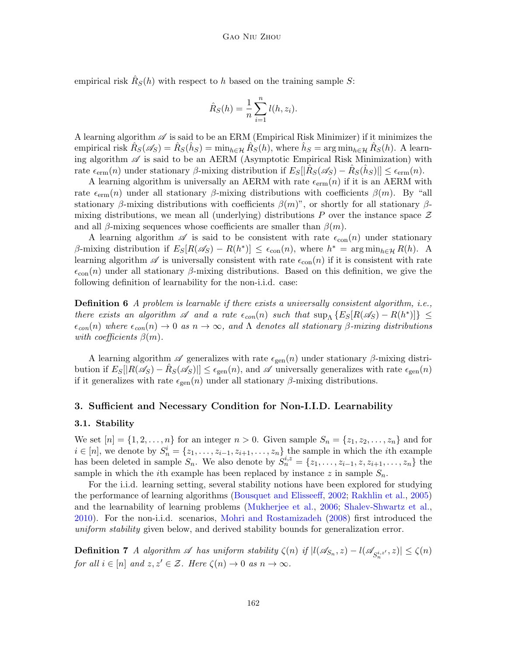empirical risk  $\hat{R}_S(h)$  with respect to *h* based on the training sample *S*:

$$
\hat{R}_S(h) = \frac{1}{n} \sum_{i=1}^n l(h, z_i).
$$

A learning algorithm *A* is said to be an ERM (Empirical Risk Minimizer) if it minimizes the empirical risk  $\hat{R}_S(\mathscr{A}_S) = \hat{R}_S(\hat{h}_S) = \min_{h \in \mathcal{H}} \hat{R}_S(h)$ , where  $\hat{h}_S = \arg \min_{h \in \mathcal{H}} \hat{R}_S(h)$ . A learning algorithm  $\mathscr A$  is said to be an AERM (Asymptotic Empirical Risk Minimization) with rate  $\epsilon_{\text{erm}}(n)$  under stationary  $\beta$ -mixing distribution if  $E_S[|\hat{R}_S(\mathscr{A}_S) - \hat{R}_S(\hat{h}_S)|] \leq \epsilon_{\text{erm}}(n)$ .

A learning algorithm is universally an AERM with rate  $\epsilon_{\text{erm}}(n)$  if it is an AERM with rate  $\epsilon_{\text{erm}}(n)$  under all stationary *β*-mixing distributions with coefficients *β(m)*. By "all stationary *β*-mixing distributions with coefficients  $\beta(m)$ ", or shortly for all stationary *β*mixing distributions, we mean all (underlying) distributions *P* over the instance space *Z* and all  $\beta$ -mixing sequences whose coefficients are smaller than  $\beta(m)$ .

A learning algorithm  $\mathscr A$  is said to be consistent with rate  $\epsilon_{con}(n)$  under stationary  $\beta$ -mixing distribution if  $E_S[R(\mathscr{A}_S) - R(h^*)] \leq \epsilon_{con}(n)$ , where  $h^* = \arg \min_{h \in \mathcal{H}} R(h)$ . A learning algorithm  $\mathscr A$  is universally consistent with rate  $\epsilon_{\text{con}}(n)$  if it is consistent with rate *ϵ*con(*n*) under all stationary *β*-mixing distributions. Based on this definition, we give the following definition of learnability for the non-i.i.d. case:

<span id="page-4-0"></span>**Definition 6** *A problem is learnable if there exists a universally consistent algorithm, i.e., there exists an algorithm*  $\mathscr A$  *and a rate*  $\epsilon_{con}(n)$  *such that*  $\sup_{\Lambda} \{ E_S[R(\mathscr A_S) - R(h^*)] \} \le$  $\epsilon_{con}(n)$  where  $\epsilon_{con}(n) \to 0$  *as*  $n \to \infty$ , and  $\Lambda$  denotes all stationary  $\beta$ -mixing distributions *with coefficients β*(*m*)*.*

A learning algorithm  $\mathscr A$  generalizes with rate  $\epsilon_{gen}(n)$  under stationary  $\beta$ -mixing distri- $\text{bution if } E_S[|R(\mathscr{A}_S) - \hat{R}_S(\mathscr{A}_S)|] \leq \epsilon_{\text{gen}}(n)$ , and  $\mathscr{A}$  universally generalizes with rate  $\epsilon_{\text{gen}}(n)$ if it generalizes with rate  $\epsilon_{gen}(n)$  under all stationary  $\beta$ -mixing distributions.

### **3. Sufficient and Necessary Condition for Non-I.I.D. Learnability**

#### **3.1. Stability**

We set  $[n] = \{1, 2, \ldots, n\}$  for an integer  $n > 0$ . Given sample  $S_n = \{z_1, z_2, \ldots, z_n\}$  and for  $i \in [n]$ , we denote by  $S_n^i = \{z_1, \ldots, z_{i-1}, z_{i+1}, \ldots, z_n\}$  the sample in which the *i*<sup>th</sup> example has been deleted in sample  $S_n$ . We also denote by  $S_n^{i,z} = \{z_1, \ldots, z_{i-1}, z, z_{i+1}, \ldots, z_n\}$  the sample in which the *i*th example has been replaced by instance  $z$  in sample  $S_n$ .

For the i.i.d. learning setting, several stability notions have been explored for studying the performance of learning algorithms ([Bousquet and Elisseeff,](#page-14-7) [2002](#page-14-7); [Rakhlin et al.](#page-15-13), [2005\)](#page-15-13) and the learnability of learning problems ([Mukherjee et al.,](#page-15-15) [2006](#page-15-15); [Shalev-Shwartz et al.,](#page-15-2) [2010\)](#page-15-2). For the non-i.i.d. scenarios, [Mohri and Rostamizadeh](#page-15-7) ([2008](#page-15-7)) first introduced the *uniform stability* given below, and derived stability bounds for generalization error.

**Definition 7** A algorithm  $\mathscr A$  has uniform stability  $\zeta(n)$  if  $|l(\mathscr A_{S_n}, z) - l(\mathscr A_{S_n^{i,z'}}, z)| \leq \zeta(n)$ *for all*  $i \in [n]$  *and*  $z, z' \in \mathcal{Z}$ *. Here*  $\zeta(n) \to 0$  *as*  $n \to \infty$ *.*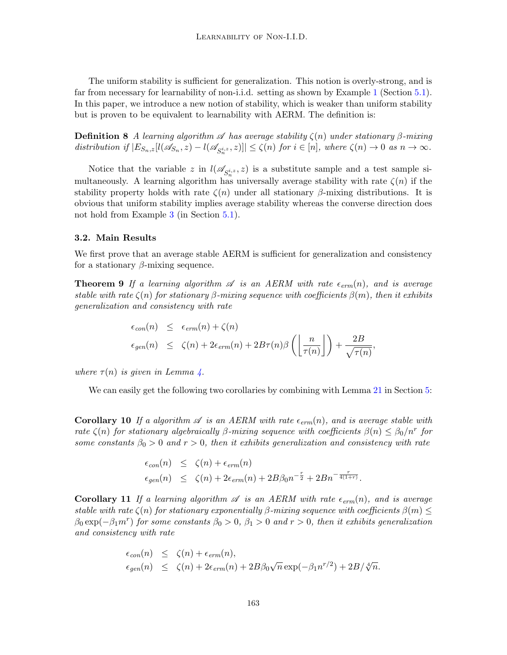The uniform stability is sufficient for generalization. This notion is overly-strong, and is far from necessary for learnability of non-i.i.d. setting as shown by Example [1](#page-8-0) (Section [5.1\)](#page-8-1). In this paper, we introduce a new notion of stability, which is weaker than uniform stability but is proven to be equivalent to learnability with AERM. The definition is:

**Definition 8** *A learning algorithm*  $\mathscr A$  *has average stability*  $\zeta(n)$  *under stationary*  $\beta$ *-mixing* distribution if  $|E_{S_n,z}[l(\mathscr{A}_{S_n},z)-l(\mathscr{A}_{S_n^i},z)]| \leq \zeta(n)$  for  $i \in [n]$ , where  $\zeta(n) \to 0$  as  $n \to \infty$ .

Notice that the variable *z* in  $l(\mathscr{A}_{S_n^{i,z}}, z)$  is a substitute sample and a test sample simultaneously. A learning algorithm has universally average stability with rate  $\zeta(n)$  if the stability property holds with rate  $\zeta(n)$  under all stationary *β*-mixing distributions. It is obvious that uniform stability implies average stability whereas the converse direction does not hold from Example [3](#page-9-0) (in Section [5.1\)](#page-8-1).

#### **3.2. Main Results**

We first prove that an average stable AERM is sufficient for generalization and consistency for a stationary *β*-mixing sequence.

**Theorem 9** *If a learning algorithm*  $\mathscr A$  *is an AERM with rate*  $\epsilon_{erm}(n)$ *, and is average stable with rate*  $\zeta(n)$  *for stationary*  $\beta$ *-mixing sequence with coefficients*  $\beta(m)$ *, then it exhibits generalization and consistency with rate*

<span id="page-5-0"></span>
$$
\epsilon_{con}(n) \leq \epsilon_{erm}(n) + \zeta(n)
$$
  

$$
\epsilon_{gen}(n) \leq \zeta(n) + 2\epsilon_{erm}(n) + 2B\tau(n)\beta\left(\left\lfloor\frac{n}{\tau(n)}\right\rfloor\right) + \frac{2B}{\sqrt{\tau(n)}},
$$

*where*  $\tau(n)$  *is given in Lemma [4](#page-2-0).* 

We can easily get the following two corollaries by combining with Lemma [21](#page-8-2) in Section [5:](#page-7-0)

**Corollary 10** If a algorithm  $\mathscr A$  is an AERM with rate  $\epsilon_{erm}(n)$ , and is average stable with *rate*  $\zeta(n)$  *for stationary algebraically β-mixing sequence with coefficients*  $\beta(n) \leq \beta_0/n^r$  *for some constants*  $\beta_0 > 0$  *and*  $r > 0$ *, then it exhibits generalization and consistency with rate* 

$$
\epsilon_{con}(n) \leq \zeta(n) + \epsilon_{erm}(n)
$$
  

$$
\epsilon_{gen}(n) \leq \zeta(n) + 2\epsilon_{erm}(n) + 2B\beta_0 n^{-\frac{r}{2}} + 2Bn^{-\frac{r}{4(1+r)}}.
$$

**Corollary 11** *If a learning algorithm*  $\mathscr A$  *is an AERM with rate*  $\epsilon_{erm}(n)$ *, and is average stable with rate*  $\zeta(n)$  *for stationary exponentially*  $\beta$ *-mixing sequence with coefficients*  $\beta(m) \leq$  $\beta_0 \exp(-\beta_1 m^r)$  *for some constants*  $\beta_0 > 0$ ,  $\beta_1 > 0$  *and*  $r > 0$ , *then it exhibits generalization and consistency with rate*

$$
\epsilon_{con}(n) \leq \zeta(n) + \epsilon_{erm}(n),
$$
  
\n
$$
\epsilon_{gen}(n) \leq \zeta(n) + 2\epsilon_{erm}(n) + 2B\beta_0\sqrt{n} \exp(-\beta_1 n^{r/2}) + 2B/\sqrt[4]{n}.
$$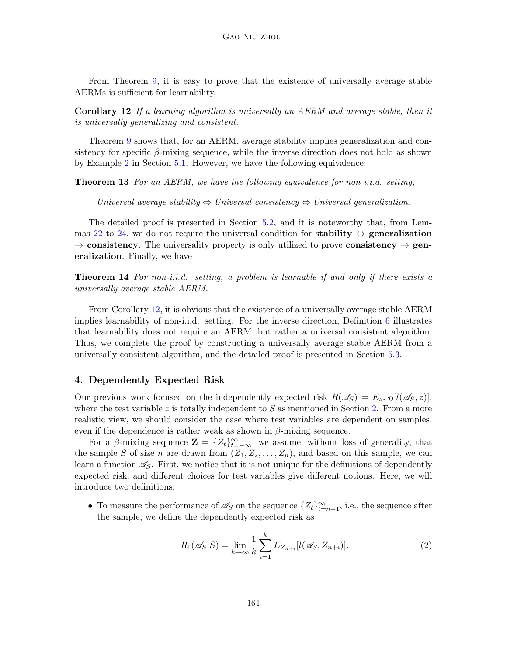<span id="page-6-1"></span>From Theorem [9](#page-5-0), it is easy to prove that the existence of universally average stable AERMs is sufficient for learnability.

**Corollary 12** *If a learning algorithm is universally an AERM and average stable, then it is universally generalizing and consistent.*

Theorem [9](#page-5-0) shows that, for an AERM, average stability implies generalization and consistency for specific *β*-mixing sequence, while the inverse direction does not hold as shown by Example [2](#page-9-1) in Section [5.1](#page-8-1). However, we have the following equivalence:

**Theorem 13** *For an AERM, we have the following equivalence for non-i.i.d. setting,*

<span id="page-6-3"></span>*Universal average stability*  $\Leftrightarrow$  *Universal consistency*  $\Leftrightarrow$  *Universal generalization.* 

The detailed proof is presented in Section [5.2,](#page-10-0) and it is noteworthy that, from Lem-mas [22](#page-10-1) to [24,](#page-10-2) we do not require the universal condition for **stability**  $\leftrightarrow$  **generalization** *→* **consistency**. The universality property is only utilized to prove **consistency** *→* **generalization**. Finally, we have

<span id="page-6-4"></span>**Theorem 14** *For non-i.i.d. setting, a problem is learnable if and only if there exists a universally average stable AERM.*

From Corollary [12](#page-6-1), it is obvious that the existence of a universally average stable AERM implies learnability of non-i.i.d. setting. For the inverse direction, Definition [6](#page-4-0) illustrates that learnability does not require an AERM, but rather a universal consistent algorithm. Thus, we complete the proof by constructing a universally average stable AERM from a universally consistent algorithm, and the detailed proof is presented in Section [5.3.](#page-12-0)

#### <span id="page-6-0"></span>**4. Dependently Expected Risk**

Our previous work focused on the independently expected risk  $R(\mathscr{A}_S) = E_{z\sim\mathcal{D}}[l(\mathscr{A}_S, z)]$ , where the test variable *z* is totally independent to *S* as mentioned in Section [2.](#page-2-1) From a more realistic view, we should consider the case where test variables are dependent on samples, even if the dependence is rather weak as shown in  $\beta$ -mixing sequence.

For a *β*-mixing sequence  $\mathbf{Z} = \{Z_t\}_{t=-\infty}^{\infty}$ , we assume, without loss of generality, that the sample *S* of size *n* are drawn from  $(Z_1, Z_2, \ldots, Z_n)$ , and based on this sample, we can learn a function  $\mathscr{A}_S$ . First, we notice that it is not unique for the definitions of dependently expected risk, and different choices for test variables give different notions. Here, we will introduce two definitions:

• To measure the performance of  $\mathscr{A}_S$  on the sequence  $\{Z_t\}_{t=n+1}^{\infty}$ , i.e., the sequence after the sample, we define the dependently expected risk as

<span id="page-6-2"></span>
$$
R_1(\mathscr{A}_S|S) = \lim_{k \to \infty} \frac{1}{k} \sum_{i=1}^k E_{Z_{n+i}}[l(\mathscr{A}_S, Z_{n+i})].
$$
 (2)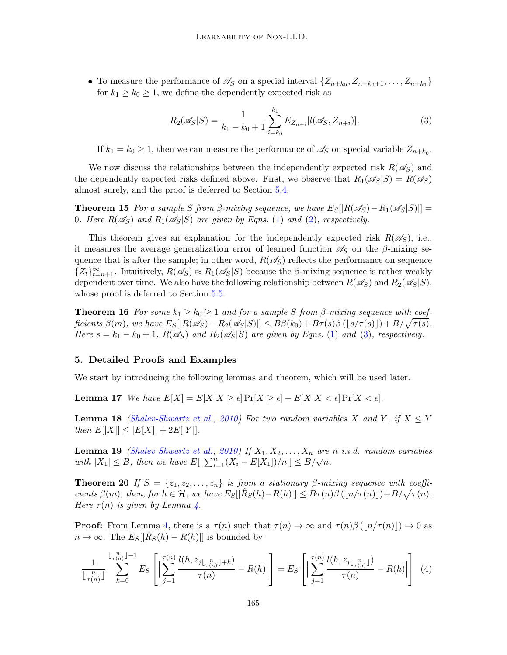• To measure the performance of  $\mathscr{A}_S$  on a special interval  $\{Z_{n+k_0}, Z_{n+k_0+1}, \ldots, Z_{n+k_1}\}\$ for  $k_1 \geq k_0 \geq 1$ , we define the dependently expected risk as

<span id="page-7-7"></span><span id="page-7-1"></span>
$$
R_2(\mathscr{A}_S|S) = \frac{1}{k_1 - k_0 + 1} \sum_{i=k_0}^{k_1} E_{Z_{n+i}}[l(\mathscr{A}_S, Z_{n+i})].
$$
\n(3)

If  $k_1 = k_0 \geq 1$ , then we can measure the performance of  $\mathscr{A}_S$  on special variable  $Z_{n+k_0}$ .

We now discuss the relationships between the independently expected risk  $R(\mathscr{A}_S)$  and the dependently expected risks defined above. First, we observe that  $R_1(\mathscr{A}_S|S) = R(\mathscr{A}_S)$ almost surely, and the proof is deferred to Section [5.4](#page-13-0).

**Theorem 15** *For a sample S from*  $\beta$ *-mixing sequence, we have*  $E_S[|R(\mathscr{A}_S) - R_1(\mathscr{A}_S|S)|] =$ 0*. Here*  $R(\mathscr{A}_S)$  and  $R_1(\mathscr{A}_S|S)$  $R_1(\mathscr{A}_S|S)$  $R_1(\mathscr{A}_S|S)$  are given by Eqns. (1) and [\(2\)](#page-6-2), respectively.

This theorem gives an explanation for the independently expected risk  $R(\mathscr{A}_S)$ , i.e., it measures the average generalization error of learned function  $\mathscr{A}_S$  on the  $\beta$ -mixing sequence that is after the sample; in other word,  $R(\mathscr{A}_S)$  reflects the performance on sequence  ${Z_t}_{t=n+1}^{\infty}$ . Intuitively,  $R(\mathscr{A}_S) \approx R_1(\mathscr{A}_S|S)$  because the *β*-mixing sequence is rather weakly dependent over time. We also have the following relationship between  $R(\mathscr{A}_S)$  and  $R_2(\mathscr{A}_S|S)$ , whose proof is deferred to Section [5.5](#page-13-1).

<span id="page-7-8"></span>**Theorem 16** *For some*  $k_1 \geq k_0 \geq 1$  *and for a sample S from*  $\beta$ *-mixing sequence with coef*ficients  $\beta(m)$ , we have  $E_S[|R(\mathscr{A}_S) - R_2(\mathscr{A}_S|S)|] \leq B\beta(k_0) + B\tau(s)\beta\left(\lfloor s/\tau(s)\rfloor\right) + B/\sqrt{\tau(s)}$ . *Here*  $s = k_1 - k_0 + 1$ ,  $R(\mathscr{A}_S)$  and  $R_2(\mathscr{A}_S|S)$  are given by Eqns. [\(1](#page-3-1)) and [\(3\)](#page-7-1), respectively.

### <span id="page-7-0"></span>**5. Detailed Proofs and Examples**

<span id="page-7-5"></span>We start by introducing the following lemmas and theorem, which will be used later.

**Lemma 17** *We have*  $E[X] = E[X|X \geq \epsilon] \Pr[X \geq \epsilon] + E[X|X \leq \epsilon] \Pr[X \leq \epsilon]$ .

<span id="page-7-6"></span>**Lemma 18** *([Shalev-Shwartz et al.](#page-15-2), [2010](#page-15-2)) For two random variables X* and *Y*, if  $X \leq Y$  $t$ *hen*  $E[|X|] \leq |E[X]| + 2E[|Y|].$ 

<span id="page-7-2"></span>**Lemma 19** *([Shalev-Shwartz et al.,](#page-15-2) [2010\)](#page-15-2) If*  $X_1, X_2, \ldots, X_n$  *are n i.i.d. random variables*  $w$ ith  $|X_1| \leq B$ , then we have  $E[|\sum_{i=1}^n (X_i - E[X_1])/n|] \leq B/\sqrt{n}$ .

<span id="page-7-4"></span>**Theorem 20** *If*  $S = \{z_1, z_2, \ldots, z_n\}$  *is from a stationary*  $\beta$ -mixing sequence with coefficients  $\beta(m)$ , then, for  $h \in \mathcal{H}$ , we have  $E_S[|\hat{R}_S(h) - R(h)|] \leq B\tau(n)\beta\left(\lfloor n/\tau(n)\rfloor\right) + B/\sqrt{\tau(n)}$ . *Here*  $\tau(n)$  *is given by Lemma [4.](#page-2-0)* 

**Proof:** From Lemma [4,](#page-2-0) there is a  $\tau(n)$  such that  $\tau(n) \to \infty$  and  $\tau(n)\beta(|n/\tau(n)|) \to 0$  as  $n \to \infty$ . The  $E_S[|\hat{R}_S(h) - R(h)|]$  is bounded by

<span id="page-7-3"></span>
$$
\frac{1}{\lfloor \frac{n}{\tau(n)} \rfloor} \sum_{k=0}^{\lfloor \frac{n}{\tau(n)} \rfloor - 1} E_S \left[ \left| \sum_{j=1}^{\tau(n)} \frac{l(h, z_{j \lfloor \frac{n}{\tau(n)} \rfloor + k})}{\tau(n)} - R(h) \right| \right] = E_S \left[ \left| \sum_{j=1}^{\tau(n)} \frac{l(h, z_{j \lfloor \frac{n}{\tau(n)} \rfloor})}{\tau(n)} - R(h) \right| \right] \tag{4}
$$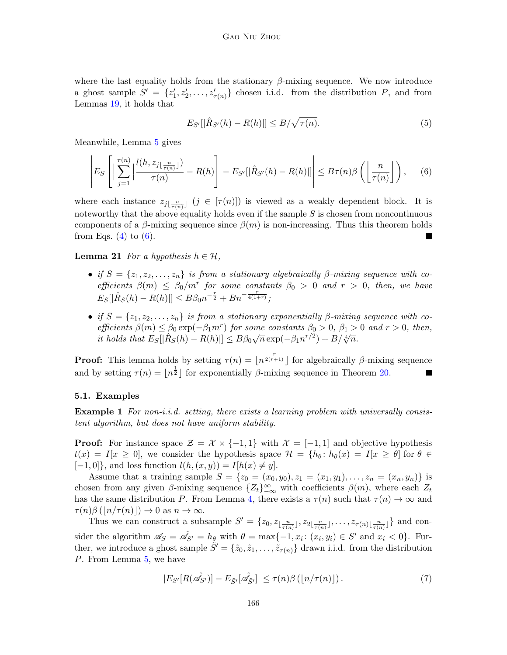where the last equality holds from the stationary *β*-mixing sequence. We now introduce a ghost sample  $S' = \{z'_1, z'_2, \ldots, z'_{\tau(n)}\}$  chosen i.i.d. from the distribution *P*, and from Lemmas [19](#page-7-2), it holds that

$$
E_{S'}[|\hat{R}_{S'}(h) - R(h)|] \le B/\sqrt{\tau(n)}.
$$
\n(5)

Meanwhile, Lemma [5](#page-3-2) gives

<span id="page-8-3"></span>
$$
\left| E_S \left[ \left| \sum_{j=1}^{\tau(n)} \left| \frac{l(h, z_{j \lfloor \frac{n}{\tau(n)} \rfloor})}{\tau(n)} - R(h) \right| - E_{S'}[|\hat{R}_{S'}(h) - R(h)|] \right| \right| \leq B\tau(n)\beta \left( \left\lfloor \frac{n}{\tau(n)} \right\rfloor \right), \quad (6)
$$

where each instance  $z_{j\lfloor \frac{n}{\tau(n)}\rfloor}$   $(j \in [\tau(n)])$  is viewed as a weakly dependent block. It is noteworthy that the above equality holds even if the sample *S* is chosen from noncontinuous components of a  $\beta$ -mixing sequence since  $\beta(m)$  is non-increasing. Thus this theorem holds from Eqs.  $(4)$  to  $(6)$ .

<span id="page-8-2"></span>**Lemma 21** *For a hypothesis*  $h \in \mathcal{H}$ *,* 

- *if*  $S = \{z_1, z_2, \ldots, z_n\}$  *is from a stationary algebraically*  $\beta$ -mixing sequence with co*efficients*  $\beta(m) \leq \beta_0/m^r$  *for some constants*  $\beta_0 > 0$  *and*  $r > 0$ *, then, we have*  $E_S[|\hat{R}_S(h) - R(h)|] \leq B\beta_0 n^{-\frac{r}{2}} + B n^{-\frac{r}{4(1+r)}};$
- *if*  $S = \{z_1, z_2, \ldots, z_n\}$  *is from a stationary exponentially*  $\beta$ *-mixing sequence with coefficients*  $\beta(m) \leq \beta_0 \exp(-\beta_1 m^r)$  *for some constants*  $\beta_0 > 0$ ,  $\beta_1 > 0$  *and*  $r > 0$ , *then,*  $\frac{1}{2}$  *b*<sub>0</sub> *cm*<sub> $\leq$ </sub> *p*<sub>0</sub> *cm***<sub>** $\leq$ **</sub>** *n*<sub> $\leq$ </sub> *n*<sup> $\leq$ </sup> *n*<sup> $\leq$ </sup> *n*<sup> $\leq$ </sup> *n*<sup> $\leq$ </sup> *n*<sup> $\leq$ </sup> *n*<sup> $\leq$ </sup> *n*<sup> $\leq$ </sup> *n*<sup> $\leq$ </sup> *n*<sup> $\leq$ </sup> *n*<sup> $\leq$ </sup> *n*<sup> $\leq$ </sup> *n*<sup> $\leq$ </sup> *n*<sup> $\leq$ </sup> *n*<sup> $\leq$ </sup> *n*<sup></sup>

**Proof:** This lemma holds by setting  $\tau(n) = \lfloor n^{\frac{r}{2(r+1)}} \rfloor$  for algebraically *β*-mixing sequence and by setting  $\tau(n) = |n^{\frac{1}{2}}|$  for exponentially  $\beta$ -mixing sequence in Theorem [20.](#page-7-4)

#### <span id="page-8-1"></span>**5.1. Examples**

<span id="page-8-0"></span>**Example 1** *For non-i.i.d. setting, there exists a learning problem with universally consistent algorithm, but does not have uniform stability.*

**Proof:** For instance space  $\mathcal{Z} = \mathcal{X} \times \{-1, 1\}$  with  $\mathcal{X} = [-1, 1]$  and objective hypothesis  $t(x) = I[x \ge 0]$ , we consider the hypothesis space  $\mathcal{H} = \{h_\theta : h_\theta(x) = I[x \ge \theta] \text{ for } \theta \in \mathcal{H}\}$  $[-1, 0]$ }, and loss function  $l(h, (x, y)) = I[h(x) \neq y]$ .

Assume that a training sample  $S = \{z_0 = (x_0, y_0), z_1 = (x_1, y_1), \ldots, z_n = (x_n, y_n)\}\$ is chosen from any given  $\beta$ -mixing sequence  $\{Z_t\}_{-\infty}^{\infty}$  with coefficients  $\beta(m)$ , where each  $Z_t$ has the same distribution *P*. From Lemma [4,](#page-2-0) there exists a  $\tau(n)$  such that  $\tau(n) \to \infty$  and  $\tau(n)\beta(|n/\tau(n)|) \to 0$  as  $n \to \infty$ .

Thus we can construct a subsample  $S' = \{z_0, z_{\lfloor \frac{n}{\tau(n)} \rfloor}, z_{2\lfloor \frac{n}{\tau(n)} \rfloor}, \ldots, z_{\tau(n)\lfloor \frac{n}{\tau(n)} \rfloor}\}\$  and consider the algorithm  $\mathscr{A}_S = \mathscr{A}_{S'} = h_\theta$  with  $\theta = \max\{-1, x_i : (x_i, y_i) \in S'$  and  $x_i < 0\}$ . Further, we introduce a ghost sample  $\tilde{S}' = \{\tilde{z}_0, \tilde{z}_1, \ldots, \tilde{z}_{\tau(n)}\}$  drawn i.i.d. from the distribution *P*. From Lemma [5](#page-3-2), we have

<span id="page-8-4"></span>
$$
|E_{S'}[R(\hat{\mathscr{A}}_{S'})] - E_{\tilde{S}'}[\hat{\mathscr{A}}_{\tilde{S}'}]| \le \tau(n)\beta\left(\lfloor n/\tau(n)\rfloor\right). \tag{7}
$$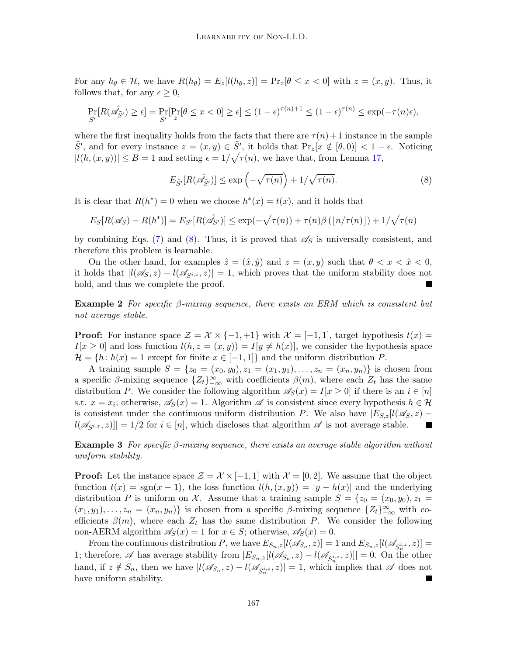For any  $h_{\theta} \in \mathcal{H}$ , we have  $R(h_{\theta}) = E_z[l(h_{\theta}, z)] = \Pr_z[\theta \leq x < 0]$  with  $z = (x, y)$ . Thus, it follows that, for any  $\epsilon \geq 0$ ,

$$
\Pr_{\tilde{S}'}[R(\hat{\mathscr{A}}_{\tilde{S}'}) \geq \epsilon] = \Pr_{\tilde{S}'}[\Pr_{z}[\theta \leq x < 0] \geq \epsilon] \leq (1 - \epsilon)^{\tau(n)+1} \leq (1 - \epsilon)^{\tau(n)} \leq \exp(-\tau(n)\epsilon),
$$

where the first inequality holds from the facts that there are  $\tau(n) + 1$  instance in the sample  $\tilde{S}'$ , and for every instance  $z = (x, y) \in \tilde{S}'$ , it holds that  $\Pr_z[x \notin [\theta, 0)] < 1 - \epsilon$ . Noticing  $|l(h,(x,y))| \leq B = 1$  and setting  $\epsilon = 1/\sqrt{\tau(n)}$ , we have that, from Lemma [17,](#page-7-5)

<span id="page-9-2"></span>
$$
E_{\tilde{S}'}[R(\hat{\mathscr{A}}_{\tilde{S}'})] \le \exp\left(-\sqrt{\tau(n)}\right) + 1/\sqrt{\tau(n)}.
$$
\n(8)

It is clear that  $R(h^*) = 0$  when we choose  $h^*(x) = t(x)$ , and it holds that

$$
E_S[R(\mathscr{A}_S) - R(h^*)] = E_{S'}[R(\mathscr{A}_{S'})] \le \exp(-\sqrt{\tau(n)}) + \tau(n)\beta(\lfloor n/\tau(n)\rfloor) + 1/\sqrt{\tau(n)}
$$

by combining Eqs. ([7\)](#page-8-4) and [\(8\)](#page-9-2). Thus, it is proved that  $\mathscr{A}_S$  is universally consistent, and therefore this problem is learnable.

On the other hand, for examples  $\hat{z} = (\hat{x}, \hat{y})$  and  $z = (x, y)$  such that  $\theta < x < \hat{x} < 0$ , it holds that  $|l(\mathscr{A}_S, z) - l(\mathscr{A}_{S_i,z}, z)| = 1$ , which proves that the uniform stability does not hold, and thus we complete the proof.

<span id="page-9-1"></span>**Example 2** *For specific β-mixing sequence, there exists an ERM which is consistent but not average stable.*

**Proof:** For instance space  $\mathcal{Z} = \mathcal{X} \times \{-1, +1\}$  with  $\mathcal{X} = [-1, 1]$ , target hypothesis  $t(x) =$  $I[x \geq 0]$  and loss function  $l(h, z = (x, y)) = I[y \neq h(x)]$ , we consider the hypothesis space  $\mathcal{H} = \{h : h(x) = 1 \text{ except for finite } x \in [-1, 1]\}$  and the uniform distribution *P*.

A training sample  $S = \{z_0 = (x_0, y_0), z_1 = (x_1, y_1), \ldots, z_n = (x_n, y_n)\}\$ is chosen from a specific  $\beta$ -mixing sequence  $\{Z_t\}_{-\infty}^{\infty}$  with coefficients  $\beta(m)$ , where each  $Z_t$  has the same distribution *P*. We consider the following algorithm  $\mathscr{A}_{S}(x) = I[x \geq 0]$  if there is an  $i \in [n]$ s.t.  $x = x_i$ ; otherwise,  $\mathscr{A}_S(x) = 1$ . Algorithm  $\mathscr A$  is consistent since every hypothesis  $h \in \mathcal H$ is consistent under the continuous uniform distribution *P*. We also have  $|E_{S,z}|$  *l*( $\mathscr{A}_{S}, z$ ) –  $l(\mathscr{A}_{S_i,z},z)$ || = 1/2 for  $i \in [n]$ , which discloses that algorithm  $\mathscr A$  is not average stable.

<span id="page-9-0"></span>**Example 3** *For specific β-mixing sequence, there exists an average stable algorithm without uniform stability.*

**Proof:** Let the instance space  $\mathcal{Z} = \mathcal{X} \times [-1, 1]$  with  $\mathcal{X} = [0, 2]$ . We assume that the object function  $t(x) = sgn(x - 1)$ , the loss function  $l(h, (x, y)) = |y - h(x)|$  and the underlying distribution *P* is uniform on *X*. Assume that a training sample  $S = \{z_0 = (x_0, y_0), z_1 =$  $(x_1, y_1), \ldots, z_n = (x_n, y_n)$  is chosen from a specific  $\beta$ -mixing sequence  $\{Z_t\}_{-\infty}^{\infty}$  with coefficients  $\beta(m)$ , where each  $Z_t$  has the same distribution *P*. We consider the following non-AERM algorithm  $\mathscr{A}_S(x) = 1$  for  $x \in S$ ; otherwise,  $\mathscr{A}_S(x) = 0$ .

From the continuous distribution P, we have  $E_{S_n,z}[l(\mathscr{A}_{S_n},z)] = 1$  and  $E_{S_n,z}[l(\mathscr{A}_{S_n^{i,z}},z)] =$ 1; therefore,  $\mathscr A$  has average stability from  $|E_{S_n,z}[l(\mathscr A_{S_n},z)-l(\mathscr A_{S_n^{i,z}},z)]|=0$ . On the other hand, if  $z \notin S_n$ , then we have  $|l(\mathscr{A}_{S_n}, z) - l(\mathscr{A}_{S_n^{i,z}}, z)| = 1$ , which implies that  $\mathscr A$  does not have uniform stability.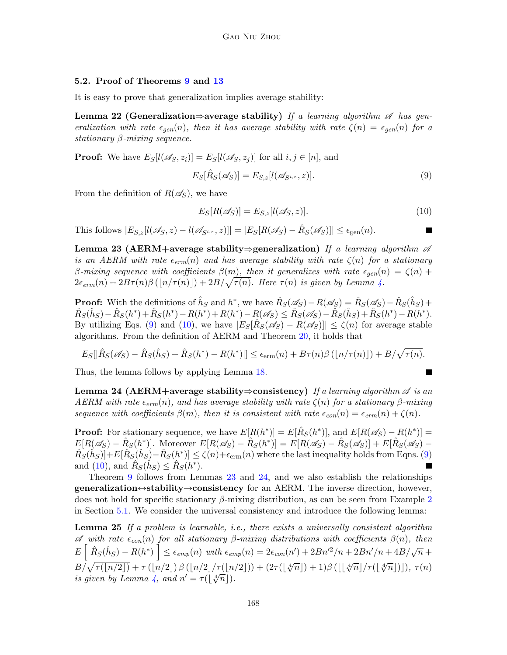#### <span id="page-10-0"></span>**5.2. Proof of Theorems [9](#page-5-0) and [13](#page-6-3)**

<span id="page-10-1"></span>It is easy to prove that generalization implies average stability:

**Lemma 22 (Generalization***⇒***average stability)** *If a learning algorithm A has generalization with rate*  $\epsilon_{gen}(n)$ *, then it has average stability with rate*  $\zeta(n) = \epsilon_{gen}(n)$  *for a stationary β-mixing sequence.*

**Proof:** We have  $E_S[l(\mathscr{A}_S, z_i)] = E_S[l(\mathscr{A}_S, z_i)]$  for all  $i, j \in [n]$ , and

<span id="page-10-3"></span>
$$
E_S[\hat{R}_S(\mathscr{A}_S)] = E_{S,z}[l(\mathscr{A}_{S^{i,z}}, z)].
$$
\n(9)

From the definition of  $R(\mathscr{A}_S)$ , we have

<span id="page-10-4"></span>
$$
E_S[R(\mathscr{A}_S)] = E_{S,z}[l(\mathscr{A}_S, z)].
$$
\n(10)

This follows  $|E_{S,z}[l(\mathscr{A}_S,z) - l(\mathscr{A}_{S^{i,z}},z)]| = |E_S[R(\mathscr{A}_S) - \hat{R}_S(\mathscr{A}_S)]| \le \epsilon_{\text{gen}}(n)$ .

<span id="page-10-5"></span>**Lemma 23 (AERM+average stability***⇒***generalization)** *If a learning algorithm A is an AERM with rate*  $\epsilon_{erm}(n)$  *and has average stability with rate*  $\zeta(n)$  *for a stationary β*<sup>*-mixing sequence with coefficients*  $β(m)$ *, then it generalizes with rate*  $ε<sub>gen</sub>(n) = ζ(n) +$ </sup>  $2\epsilon_{erm}(n) + 2B\tau(n)\beta\left(\lfloor n/\tau(n)\rfloor\right) + 2B/\sqrt{\tau(n)}$ . Here  $\tau(n)$  is given by Lemma [4](#page-2-0).

**Proof:** With the definitions of  $\hat{h}_S$  and  $h^*$ , we have  $\hat{R}_S(\mathscr{A}_S) - R(\mathscr{A}_S) = \hat{R}_S(\mathscr{A}_S) - \hat{R}_S(\hat{h}_S) +$  $\hat{R}_S(\hat{h}_S) - \hat{R}_S(h^*) + \hat{R}_S(h^*) - R(h^*) + R(h^*) - R(\mathscr{A}_S) \leq \hat{R}_S(\mathscr{A}_S) - \hat{R}_S(\hat{h}_S) + \hat{R}_S(h^*) - R(h^*).$ By utilizing Eqs. ([9](#page-10-3)) and [\(10\)](#page-10-4), we have  $|E_S[\hat{R}_S(\mathscr{A}_S) - R(\mathscr{A}_S)]| \le \zeta(n)$  for average stable algorithms. From the definition of AERM and Theorem [20](#page-7-4), it holds that

$$
E_S[|\hat{R}_S(\mathscr{A}_S) - \hat{R}_S(\hat{h}_S) + \hat{R}_S(h^*) - R(h^*)|] \le \epsilon_{\text{erm}}(n) + B\tau(n)\beta\left(\lfloor n/\tau(n)\rfloor\right) + B/\sqrt{\tau(n)}.
$$

<span id="page-10-2"></span>Thus, the lemma follows by applying Lemma [18.](#page-7-6)

**Lemma 24 (AERM+average stability***⇒***consistency)** *If a learning algorithm A is an AERM with rate*  $\epsilon_{erm}(n)$ *, and has average stability with rate*  $\zeta(n)$  *for a stationary β-mixing sequence with coefficients*  $\beta(m)$ *, then it is consistent with rate*  $\epsilon_{con}(n) = \epsilon_{erm}(n) + \zeta(n)$ *.* 

**Proof:** For stationary sequence, we have  $E[R(h^*)] = E[\hat{R}_S(h^*)]$ , and  $E[R(\mathscr{A}_S) - R(h^*)] =$  $E[R(\mathscr{A}_S) - \hat{R}_S(h^*)]$ . Moreover  $E[R(\mathscr{A}_S) - \hat{R}_S(h^*)] = E[R(\mathscr{A}_S) - \hat{R}_S(\mathscr{A}_S)] + E[\hat{R}_S(\mathscr{A}_S) \hat{R}_S(\hat{h}_S)] + E[\hat{R}_S(\hat{h}_S) - \hat{R}_S(h^*)] \le \zeta(n) + \epsilon_{\text{erm}}(n)$  where the last inequality holds from Eqns. [\(9\)](#page-10-3) and [\(10](#page-10-4)), and  $\hat{R}_S(\hat{h}_S) \leq \hat{R}_S(h^*)$ .

<span id="page-10-6"></span>Theorem [9](#page-5-0) follows from Lemmas [23](#page-10-5) and [24](#page-10-2), and we also establish the relationships **generalization***↔***stability***→***consistency** for an AERM. The inverse direction, however, does not hold for specific stationary *β*-mixing distribution, as can be seen from Example [2](#page-9-1) in Section [5.1.](#page-8-1) We consider the universal consistency and introduce the following lemma:

**Lemma 25** *If a problem is learnable, i.e., there exists a universally consistent algorithm A with rate ϵcon*(*n*) *for all stationary β-mixing distributions with coefficients β*(*n*)*, then*  $E\left[\left|\hat{R}_S(\hat{h}_S) - R(h^*)\right|\right]$  $\leq \epsilon_{emp}(n) \text{ with } \epsilon_{emp}(n) = 2\epsilon_{con}(n') + 2Bn'^2/n + 2Bn'/n + 4B/\sqrt{n} +$  $B/\sqrt{\tau(\lfloor n/2 \rfloor)} + \tau(\lfloor n/2 \rfloor) \beta(\lfloor n/2 \rfloor/\tau(\lfloor n/2 \rfloor)) + (2\tau(\lfloor \sqrt[4]{n} \rfloor) + 1)\beta(\lfloor \lfloor \sqrt[4]{n} \rfloor/\tau(\lfloor \sqrt[4]{n} \rfloor)) , \tau(n)$ *is given by Lemma [4,](#page-2-0) and*  $n' = \tau(\lfloor \sqrt[4]{n} \rfloor)$ .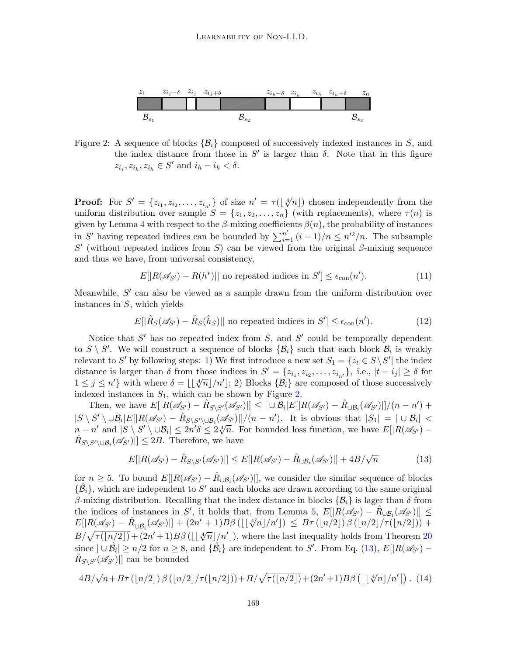

<span id="page-11-0"></span>Figure 2: A sequence of blocks  $\{\mathcal{B}_i\}$  composed of successively indexed instances in *S*, and the index distance from those in  $S'$  is larger than  $\delta$ . Note that in this figure  $z_{i_j}, z_{i_k}, z_{i_h} \in S'$  and  $i_h - i_k < \delta$ .

**Proof:** For  $S' = \{z_{i_1}, z_{i_2}, \ldots, z_{i_{n'}}\}$  of size  $n' = \tau(\lfloor \sqrt[4]{n} \rfloor)$  chosen independently from the uniform distribution over sample  $S = \{z_1, z_2, \ldots, z_n\}$  (with replacements), where  $\tau(n)$  is given by Lemma [4](#page-2-0) with respect to the  $\beta$ -mixing coefficients  $\beta(n)$ , the probability of instances in *S'* having repeated indices can be bounded by  $\sum_{i=1}^{n'} (i-1)/n \leq n'^2/n$ . The subsample  $S'$  (without repeated indices from *S*) can be viewed from the original *β*-mixing sequence and thus we have, from universal consistency,

<span id="page-11-2"></span>
$$
E[|R(\mathscr{A}_{S'}) - R(h^*)|] \text{ no repeated indices in } S' ] \leq \epsilon_{con}(n'). \tag{11}
$$

Meanwhile, *S ′* can also be viewed as a sample drawn from the uniform distribution over instances in *S*, which yields

<span id="page-11-3"></span>
$$
E[|\hat{R}_S(\mathscr{A}_{S'}) - \hat{R}_S(\hat{h}_S)|| \text{ no repeated indices in } S'] \le \epsilon_{con}(n'). \tag{12}
$$

Notice that S' has no repeated index from S, and S' could be temporally dependent to  $S \setminus S'$ . We will construct a sequence of blocks  $\{\mathcal{B}_i\}$  such that each block  $\mathcal{B}_i$  is weakly relevant to *S'* by following steps: 1) We first introduce a new set  $S_1 = \{z_t \in S \setminus S' | \text{ the index } t \in S \}$ distance is larger than  $\delta$  from those indices in  $S' = \{z_{i_1}, z_{i_2}, \ldots, z_{i_{n'}}\}$ , i.e.,  $|t - i_j| \ge \delta$  for  $1 \leq j \leq n'$ } with where  $\delta = \lfloor \frac{\sqrt{n}}{n'} \rfloor n'$ ; 2) Blocks  $\{\mathcal{B}_i\}$  are composed of those successively indexed instances in *S*1, which can be shown by Figure [2](#page-11-0).

Then, we have  $E[|R(\mathscr{A}_{S'}) - \hat{R}_{S \setminus S'}(\mathscr{A}_{S'})|] \leq |\cup \mathcal{B}_i|E[|R(\mathscr{A}_{S'}) - \hat{R}_{\cup \mathcal{B}_i}(\mathscr{A}_{S'})|]/(n - n') +$  $|S \setminus S' \setminus \cup \mathcal{B}_i|E[|R(\mathscr{A}_{S'}) - \hat{R}_{S \setminus S' \setminus \cup \mathcal{B}_i}(\mathscr{A}_{S'})]|/(n-n')$ . It is obvious that  $|S_1| = |\cup \mathcal{B}_i| <$  $n - n'$  and  $|S \setminus S' \setminus \cup \mathcal{B}_i| \leq 2n'\delta \leq 2\sqrt[n]{n}$ . For bounded loss function, we have  $E[|R(\mathscr{A}_{S'}) - n'$  and  $|S \setminus S' \setminus \cup \mathcal{B}_i| \leq 2n'\delta \leq 2\sqrt[n]{n}$ . For bounded loss function, we have  $E[|R(\mathscr{A}_{S'}) - n'$  $\hat{R}_{S \setminus S' \setminus \cup \mathcal{B}_i}(\mathscr{A}_{S'})$  ||  $\leq 2B$ . Therefore, we have

<span id="page-11-1"></span>
$$
E[|R(\mathscr{A}_{S'}) - \hat{R}_{S\setminus S'}(\mathscr{A}_{S'})|] \le E[|R(\mathscr{A}_{S'}) - \hat{R}_{\cup \mathcal{B}_i}(\mathscr{A}_{S'})|] + 4B/\sqrt{n} \tag{13}
$$

for  $n \geq 5$ . To bound  $E[|R(\mathscr{A}_{S'}) - \hat{R}_{\cup \mathcal{B}_i}(\mathscr{A}_{S'})|]$ , we consider the similar sequence of blocks  $\{\hat{\mathcal{B}}_i\}$ , which are independent to S' and each blocks are drawn according to the same original *β*-mixing distribution. Recalling that the index distance in blocks  ${B<sub>i</sub>}$  is lager than *δ* from the indices of instances in *S*<sup>*'*</sup>, it holds that, from Lemma [5,](#page-3-2)  $E[|R(\mathscr{A}_{S'}) - \hat{R}_{\cup \mathcal{B}_i}(\mathscr{A}_{S'})|] \leq$  $E[|R(\mathscr{A}_{S'}) - \hat{R}_{\cup \hat{B}_i}(\mathscr{A}_{S'})|] + (2n' + 1)B\beta\left(\lfloor \frac{1}{\sqrt[n]{n}}\rfloor/n'\right) \leq B\tau\left(\lfloor n/2\rfloor\right)\beta\left(\lfloor n/2\rfloor/\tau(\lfloor n/2\rfloor)\right) +$  $B/\sqrt{\tau(\lfloor n/2 \rfloor)} + (2n'+1)B\beta(\lfloor \lfloor \sqrt[4]{n} \rfloor/n')$ , where the last inequality holds from Theorem [20](#page-7-4) since  $|\cup \hat{\mathcal{B}}_i| \geq n/2$  for  $n \geq 8$ , and  $\{\hat{\mathcal{B}}_i\}$  are independent to S'. From Eq. [\(13](#page-11-1)),  $E[|R(\mathscr{A}_{S'}) \hat{R}_{S \setminus S'}(\mathscr{A}_{S'})$  an be bounded

$$
4B/\sqrt{n} + B\tau(\lfloor n/2\rfloor) \beta(\lfloor n/2\rfloor/\tau(\lfloor n/2\rfloor)) + B/\sqrt{\tau(\lfloor n/2\rfloor)} + (2n'+1)B\beta(\lfloor \lfloor \sqrt[4]{n} \rfloor/n')\,. (14)
$$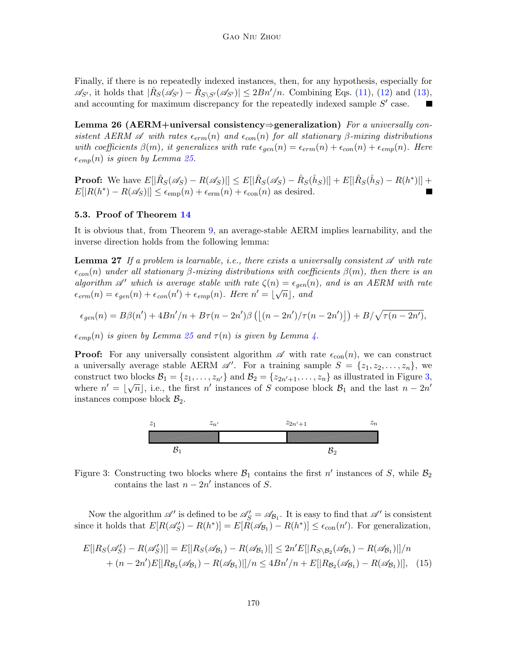Finally, if there is no repeatedly indexed instances, then, for any hypothesis, especially for  $\mathscr{A}_{S'}$ , it holds that  $|\hat{R}_S(\mathscr{A}_{S'}) - \hat{R}_{S\setminus S'}(\mathscr{A}_{S'})| \leq 2Bn'/n$ . Combining Eqs. [\(11](#page-11-2)), [\(12](#page-11-3)) and ([13\)](#page-11-1), and accounting for maximum discrepancy for the repeatedly indexed sample  $S'$  case.

**Lemma 26 (AERM+universal consistency***⇒***generalization)** *For a universally consistent AERM*  $\mathscr A$  *with rates*  $\epsilon_{erm}(n)$  *and*  $\epsilon_{con}(n)$  *for all stationary*  $\beta$ *-mixing distributions with coefficients*  $\beta(m)$ , *it generalizes with rate*  $\epsilon_{gen}(n) = \epsilon_{erm}(n) + \epsilon_{con}(n) + \epsilon_{emp}(n)$ . Here  $\epsilon_{emp}(n)$  *is given by Lemma [25](#page-10-6).* 

**Proof:** We have  $E[|\hat{R}_S(\mathscr{A}_S) - R(\mathscr{A}_S)|] \le E[|\hat{R}_S(\mathscr{A}_S) - \hat{R}_S(\hat{h}_S)|] + E[|\hat{R}_S(\hat{h}_S) - R(h^*)|] +$  $E[|R(h^*) - R(\mathscr{A}_S)|] \leq \epsilon_{\text{emp}}(n) + \epsilon_{\text{erm}}(n) + \epsilon_{\text{con}}(n)$  as desired.

#### <span id="page-12-0"></span>**5.3. Proof of Theorem [14](#page-6-4)**

It is obvious that, from Theorem [9,](#page-5-0) an average-stable AERM implies learnability, and the inverse direction holds from the following lemma:

**Lemma 27** *If a problem is learnable, i.e., there exists a universally consistent A with rate ϵcon*(*n*) *under all stationary β-mixing distributions with coefficients β*(*m*)*, then there is an algorithm*  $\mathscr{A}'$  *which is average stable with rate*  $\zeta(n) = \epsilon_{gen}(n)$ *, and is an AERM with rate*  $\epsilon_{erm}(n) = \epsilon_{gen}(n) + \epsilon_{con}(n') + \epsilon_{emp}(n)$ . Here  $n' = \lfloor \sqrt{n} \rfloor$ , and

$$
\epsilon_{gen}(n) = B\beta(n') + 4Bn'/n + B\tau(n - 2n')\beta\left(\left\lfloor (n - 2n')/\tau(n - 2n') \right\rfloor\right) + B/\sqrt{\tau(n - 2n')},
$$

 $\epsilon_{emp}(n)$  *is given by Lemma [25](#page-10-6) and*  $\tau(n)$  *is given by Lemma [4.](#page-2-0)* 

**Proof:** For any universally consistent algorithm  $\mathscr A$  with rate  $\epsilon_{con}(n)$ , we can construct a universally average stable AERM  $\mathscr{A}'$ . For a training sample  $S = \{z_1, z_2, \ldots, z_n\}$ , we construct two blocks  $\mathcal{B}_1 = \{z_1, \ldots, z_n\}$  and  $\mathcal{B}_2 = \{z_{2n'+1}, \ldots, z_n\}$  as illustrated in Figure [3,](#page-12-1) where  $n' = \lfloor \sqrt{n} \rfloor$ , i.e., the first  $n'$  instances of *S* compose block  $\mathcal{B}_1$  and the last  $n - 2n'$ instances compose block  $\mathcal{B}_2$ .

<span id="page-12-2"></span>

<span id="page-12-1"></span>Figure 3: Constructing two blocks where  $\mathcal{B}_1$  contains the first  $n'$  instances of *S*, while  $\mathcal{B}_2$ contains the last  $n - 2n'$  instances of *S*.

Now the algorithm  $\mathscr{A}'$  is defined to be  $\mathscr{A}'_S = \mathscr{A}_{\mathcal{B}_1}$ . It is easy to find that  $\mathscr{A}'$  is consistent since it holds that  $E[R(\mathscr{A}_{S}^{\prime}) - R(h^{*})] = E[R(\mathscr{A}_{B_1}) - R(h^{*})] \leq \epsilon_{con}(n^{\prime})$ . For generalization,

$$
E[|R_S(\mathscr{A}_S') - R(\mathscr{A}_S')|] = E[|R_S(\mathscr{A}_{\mathcal{B}_1}) - R(\mathscr{A}_{\mathcal{B}_1})|] \le 2n'E[|R_S\setminus \mathscr{B}_2(\mathscr{A}_{\mathcal{B}_1}) - R(\mathscr{A}_{\mathcal{B}_1})|]/n
$$
  
+  $(n - 2n')E[|R_{\mathcal{B}_2}(\mathscr{A}_{\mathcal{B}_1}) - R(\mathscr{A}_{\mathcal{B}_1})|]/n \le 4Bn'/n + E[|R_{\mathcal{B}_2}(\mathscr{A}_{\mathcal{B}_1}) - R(\mathscr{A}_{\mathcal{B}_1})|],$  (15)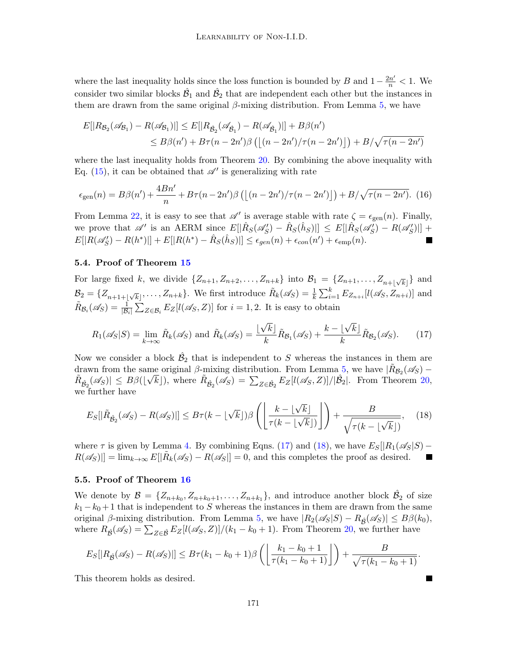where the last inequality holds since the loss function is bounded by *B* and  $1-\frac{2n'}{n} < 1$ . We consider two similar blocks  $\hat{\mathcal{B}}_1$  and  $\hat{\mathcal{B}}_2$  that are independent each other but the instances in them are drawn from the same original  $\beta$ -mixing distribution. From Lemma [5,](#page-3-2) we have

$$
E[|R_{\mathcal{B}_2}(\mathscr{A}_{\mathcal{B}_1}) - R(\mathscr{A}_{\mathcal{B}_1})|] \le E[|R_{\hat{\mathcal{B}}_2}(\mathscr{A}_{\hat{\mathcal{B}}_1}) - R(\mathscr{A}_{\hat{\mathcal{B}}_1})|] + B\beta(n')
$$
  
\n
$$
\le B\beta(n') + B\tau(n - 2n')\beta\left(\left\lfloor (n - 2n')/\tau(n - 2n') \right\rfloor\right) + B/\sqrt{\tau(n - 2n')}
$$

where the last inequality holds from Theorem [20.](#page-7-4) By combining the above inequality with Eq.  $(15)$  $(15)$ , it can be obtained that  $\mathscr{A}'$  is generalizing with rate

$$
\epsilon_{\text{gen}}(n) = B\beta(n') + \frac{4Bn'}{n} + B\tau(n - 2n')\beta\left(\left[\left(n - 2n'\right)/\tau(n - 2n'\right)\right]\right) + B/\sqrt{\tau(n - 2n')}.\tag{16}
$$

From Lemma [22,](#page-10-1) it is easy to see that  $\mathscr{A}'$  is average stable with rate  $\zeta = \epsilon_{gen}(n)$ . Finally, we prove that  $\mathscr{A}'$  is an AERM since  $E[|\hat{R}_S(\mathscr{A}'_S) - \hat{R}_S(\hat{h}_S)|] \leq E[|\hat{R}_S(\mathscr{A}'_S) - R(\mathscr{A}'_S)|] +$  $E[|R(\mathscr{A}_{S}^{\prime}) - R(h^{*})|] + E[|R(h^{*}) - \hat{R}_{S}(\hat{h}_{S})|] \le \epsilon_{gen}(n) + \epsilon_{con}(n^{\prime}) + \epsilon_{emp}(n).$ 

### <span id="page-13-0"></span>**5.4. Proof of Theorem [15](#page-7-7)**

For large fixed k, we divide  $\{Z_{n+1}, Z_{n+2}, \ldots, Z_{n+k}\}\$ into  $\mathcal{B}_1 = \{Z_{n+1}, \ldots, Z_{n+\lfloor \sqrt{k} \rfloor}\}\$ and  $\mathcal{B}_2 = \{Z_{n+1+\lfloor \sqrt{k} \rfloor}, \ldots, Z_{n+k}\}.$  We first introduce  $\tilde{R}_k(\mathscr{A}_S) = \frac{1}{k} \sum_{i=1}^k E_{Z_{n+i}}[l(\mathscr{A}_S, Z_{n+i})]$  and  $\tilde{R}_{\mathcal{B}_i}(\mathscr{A}_S) = \frac{1}{|\mathcal{B}_i|} \sum_{Z \in \mathcal{B}_i} E_Z[l(\mathscr{A}_S, Z)]$  for  $i = 1, 2$ . It is easy to obtain

<span id="page-13-2"></span>
$$
R_1(\mathscr{A}_S|S) = \lim_{k \to \infty} \tilde{R}_k(\mathscr{A}_S) \text{ and } \tilde{R}_k(\mathscr{A}_S) = \frac{\lfloor \sqrt{k} \rfloor}{k} \tilde{R}_{\mathcal{B}_1}(\mathscr{A}_S) + \frac{k - \lfloor \sqrt{k} \rfloor}{k} \tilde{R}_{\mathcal{B}_2}(\mathscr{A}_S). \tag{17}
$$

Now we consider a block  $\hat{\mathcal{B}}_2$  that is independent to *S* whereas the instances in them are drawn from the same original *β*-mixing distribution. From Lemma [5](#page-3-2), we have  $|\tilde{R}_{B_2}(\mathscr{A}_S) - \tilde{R}_{B_2}(\mathscr{A}_S)|$  $|\tilde{R}_{\hat{\mathcal{B}}_2}(\mathscr{A}_S)| \leq B\beta(|\sqrt{k}|),$  where  $|\tilde{R}_{\hat{\mathcal{B}}_2}(\mathscr{A}_S)| = \sum_{Z \in \hat{\mathcal{B}}_2} E_Z[l(\mathscr{A}_S, Z)]/|\hat{\mathcal{B}}_2|.$  From Theorem [20,](#page-7-4) we further have

<span id="page-13-3"></span>
$$
E_S[|\tilde{R}_{\hat{\mathcal{B}}_2}(\mathscr{A}_S) - R(\mathscr{A}_S)|] \le B\tau(k - \lfloor \sqrt{k} \rfloor)\beta\left(\left\lfloor \frac{k - \lfloor \sqrt{k} \rfloor}{\tau(k - \lfloor \sqrt{k} \rfloor)} \right\rfloor\right) + \frac{B}{\sqrt{\tau(k - \lfloor \sqrt{k} \rfloor)}},\quad(18)
$$

where  $\tau$  is given by Lemma [4](#page-2-0). By combining Eqns. ([17\)](#page-13-2) and ([18\)](#page-13-3), we have  $E_S[|R_1(\mathscr{A}_S|S) R(\mathscr{A}_S)|] = \lim_{k \to \infty} E[|\tilde{R}_k(\mathscr{A}_S) - R(\mathscr{A}_S]| = 0$ , and this completes the proof as desired. ш

### <span id="page-13-1"></span>**5.5. Proof of Theorem [16](#page-7-8)**

We denote by  $\mathcal{B} = \{Z_{n+k_0}, Z_{n+k_0+1}, \ldots, Z_{n+k_1}\}$ , and introduce another block  $\hat{\mathcal{B}}_2$  of size  $k_1 - k_0 + 1$  that is independent to *S* whereas the instances in them are drawn from the same original  $\beta$ -mixing distribution. From Lemma [5](#page-3-2), we have  $|R_2(\mathscr{A}_S|S) - R_{\hat{\beta}}(\mathscr{A}_S)| \leq B\beta(k_0)$ , where  $R_{\hat{\mathcal{B}}}(\mathscr{A}_S) = \sum_{Z \in \hat{\mathcal{B}}} E_Z[l(\mathscr{A}_S, Z)]/(k_1 - k_0 + 1)$ . From Theorem [20,](#page-7-4) we further have

$$
E_S[|R_{\hat{\mathcal{B}}}(\mathscr{A}_S) - R(\mathscr{A}_S)|] \leq B\tau(k_1 - k_0 + 1)\beta\left(\left\lfloor\frac{k_1 - k_0 + 1}{\tau(k_1 - k_0 + 1)}\right\rfloor\right) + \frac{B}{\sqrt{\tau(k_1 - k_0 + 1)}}.
$$

This theorem holds as desired.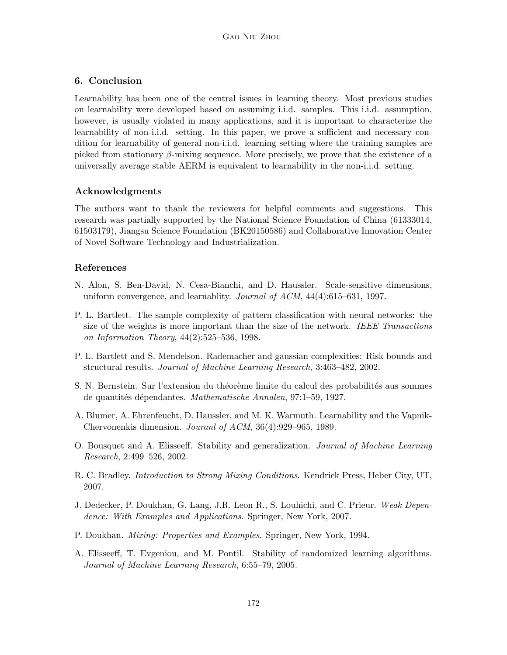## **6. Conclusion**

Learnability has been one of the central issues in learning theory. Most previous studies on learnability were developed based on assuming i.i.d. samples. This i.i.d. assumption, however, is usually violated in many applications, and it is important to characterize the learnability of non-i.i.d. setting. In this paper, we prove a sufficient and necessary condition for learnability of general non-i.i.d. learning setting where the training samples are picked from stationary *β*-mixing sequence. More precisely, we prove that the existence of a universally average stable AERM is equivalent to learnability in the non-i.i.d. setting.

## **Acknowledgments**

The authors want to thank the reviewers for helpful comments and suggestions. This research was partially supported by the National Science Foundation of China (61333014, 61503179), Jiangsu Science Foundation (BK20150586) and Collaborative Innovation Center of Novel Software Technology and Industrialization.

## **References**

- <span id="page-14-0"></span>N. Alon, S. Ben-David, N. Cesa-Bianchi, and D. Haussler. Scale-sensitive dimensions, uniform convergence, and learnablity. *Journal of ACM*, 44(4):615–631, 1997.
- <span id="page-14-2"></span>P. L. Bartlett. The sample complexity of pattern classification with neural networks: the size of the weights is more important than the size of the network. *IEEE Transactions on Information Theory*, 44(2):525–536, 1998.
- <span id="page-14-3"></span>P. L. Bartlett and S. Mendelson. Rademacher and gaussian complexities: Risk bounds and structural results. *Journal of Machine Learning Research*, 3:463–482, 2002.
- <span id="page-14-9"></span>S. N. Bernstein. Sur l'extension du théorème limite du calcul des probabilités aus sommes de quantit´es d´ependantes. *Mathematische Annalen*, 97:1–59, 1927.
- <span id="page-14-1"></span>A. Blumer, A. Ehrenfeucht, D. Haussler, and M. K. Warmuth. Learnability and the Vapnik-Chervonenkis dimension. *Jouranl of ACM*, 36(4):929–965, 1989.
- <span id="page-14-7"></span>O. Bousquet and A. Elisseeff. Stability and generalization. *Journal of Machine Learning Research*, 2:499–526, 2002.
- <span id="page-14-5"></span>R. C. Bradley. *Introduction to Strong Mixing Conditions*. Kendrick Press, Heber City, UT, 2007.
- <span id="page-14-6"></span>J. Dedecker, P. Doukhan, G. Lang, J.R. Leon R., S. Louhichi, and C. Prieur. *Weak Dependence: With Examples and Applications*. Springer, New York, 2007.
- <span id="page-14-4"></span>P. Doukhan. *Mixing: Properties and Examples*. Springer, New York, 1994.
- <span id="page-14-8"></span>A. Elisseeff, T. Evgeniou, and M. Pontil. Stability of randomized learning algorithms. *Journal of Machine Learning Research*, 6:55–79, 2005.